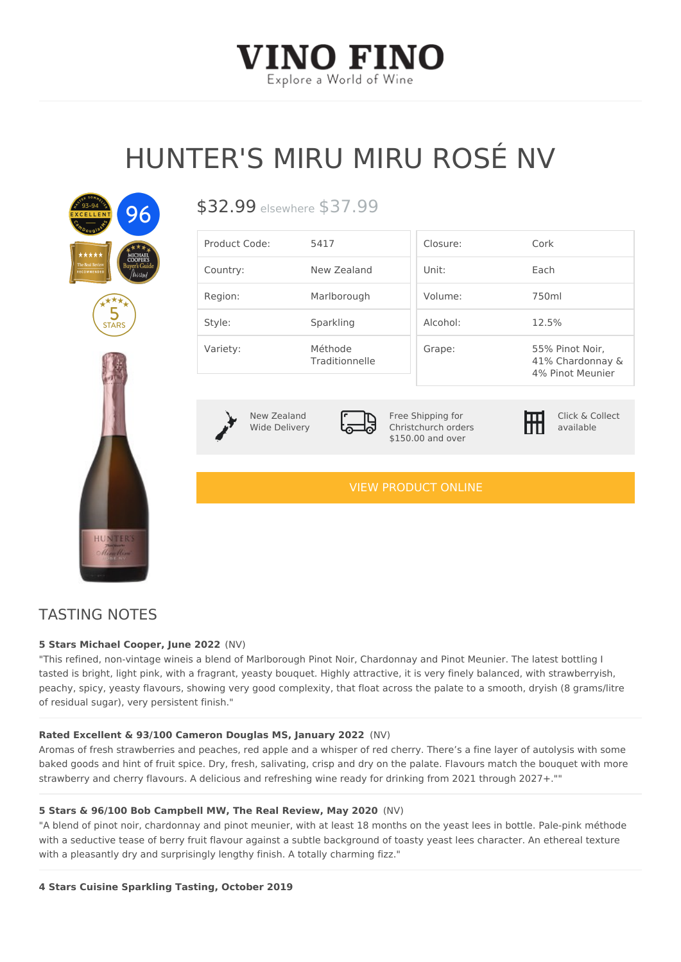# HUNTER'S MIRU MIRU ROSÉ

 $$32.99$ sewhere  $$37.99$ 

| Product Code: 5417 |                           | $C \log U \cap E$ : | $C$ or $k$                                              |
|--------------------|---------------------------|---------------------|---------------------------------------------------------|
| Country:           | New Zealand               | Unit:               | $E$ a c h                                               |
| Region:            | Marlborough               | $V$ o $I$ u m e :   | 750m                                                    |
| Style:             | Sparkling                 | $A$ $c$ oho $l$ :   | 12.5%                                                   |
| Variety:           | Méthode<br>Traditionnelle | Grape:              | 55% Pinot Noirl<br>41% Chardonnay &<br>4% Pinot Meunier |

New Zealand Wide Delivery

Free Shipping for Christchurch orders \$150.00 and over

Click & Collect available

[VIEW PRODUCT ONLINE](https://vinofino.co.nz/product/hunters-miru-miru-rose-nv/)

## TASTING NOTES

### 5 Stars Michael Cooper, Jun(eN 2022

"This refined, non-vintage wineis a blend of Marlborough Pinot Noir, Chardonnay and Pinot Meu tasted is bright, light pink, with a fragrant, yeasty bouquet. Highly attractive, it is very finely b peachy, spicy, yeasty flavours, showing very good complexity, that float across the palate to a of residual sugar), very persistent finish."

Rated Excellent & 93/100 Cameron Douglas MS, Jan Vary 2022 Aromas of fresh strawberries and peaches, red apple and a whisper of red cherry. There s a fin baked goods and hint of fruit spice. Dry, fresh, salivating, crisp and dry on the palate. Flavour

with a pleasantly dry and surprisingly lengthy finish. A totally charming fizz."

strawberry and cherry flavours. A delicious and refreshing wine ready for drinking from 2021 th 5 Stars & 96/100 Bob Campbell MW, The Real ReviewN May 2020 "A blend of pinot noir, chardonnay and pinot meunier, with at least 18 months on the yeast lees with a seductive tease of berry fruit flavour against a subtle background of toasty yeast lees ch

4 Stars Cuisine Sparkling Tasting, October 2019